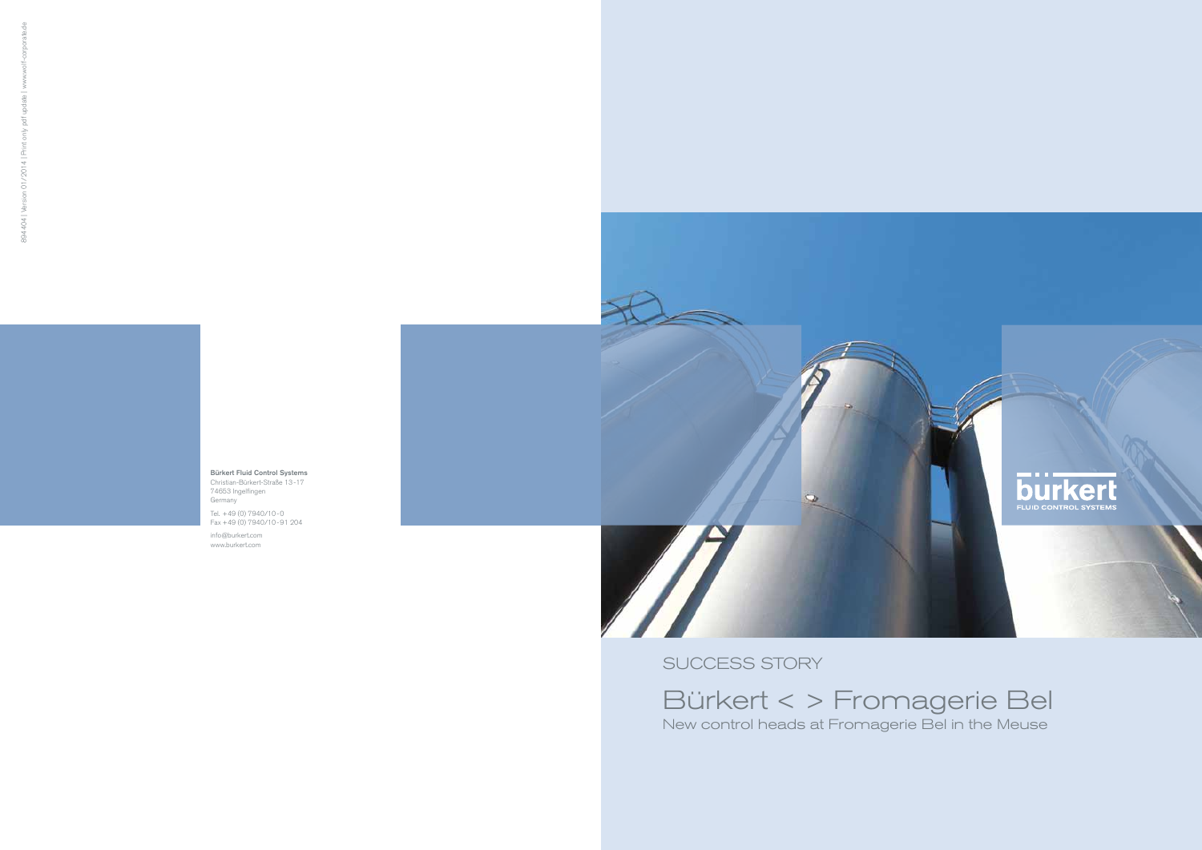SUCCESS STORY



Bürkert Fluid Control Systems Christian-Bürkert-Straße 13-17 74653 Ingelfingen Germany Tel. +49 (0) 7940/10-0

Fax +49 (0) 7940/10-91 204

info@burkert.com www.burkert.com

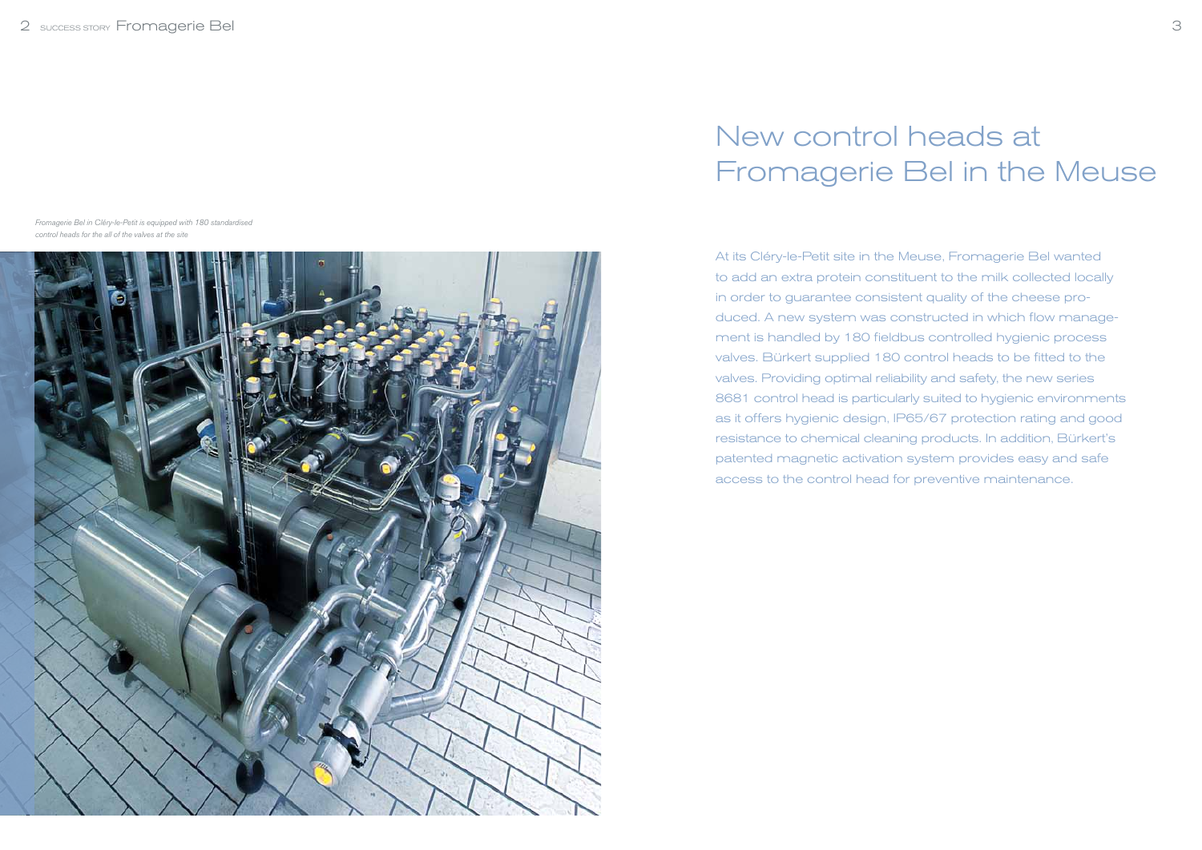At its Cléry-le-Petit site in the Meuse, Fromagerie Bel wanted to add an extra protein constituent to the milk collected locally in order to guarantee consistent quality of the cheese produced. A new system was constructed in which flow management is handled by 180 fieldbus controlled hygienic process valves. Bürkert supplied 180 control heads to be fitted to the valves. Providing optimal reliability and safety, the new series 8681 control head is particularly suited to hygienic environments as it offers hygienic design, IP65/67 protection rating and good resistance to chemical cleaning products. In addition, Bürkert's patented magnetic activation system provides easy and safe access to the control head for preventive maintenance.

# New control heads at Fromagerie Bel in the Meuse

Fromagerie Bel in Cléry-le-Petit is equipped with 180 standardised control heads for the all of the valves at the site

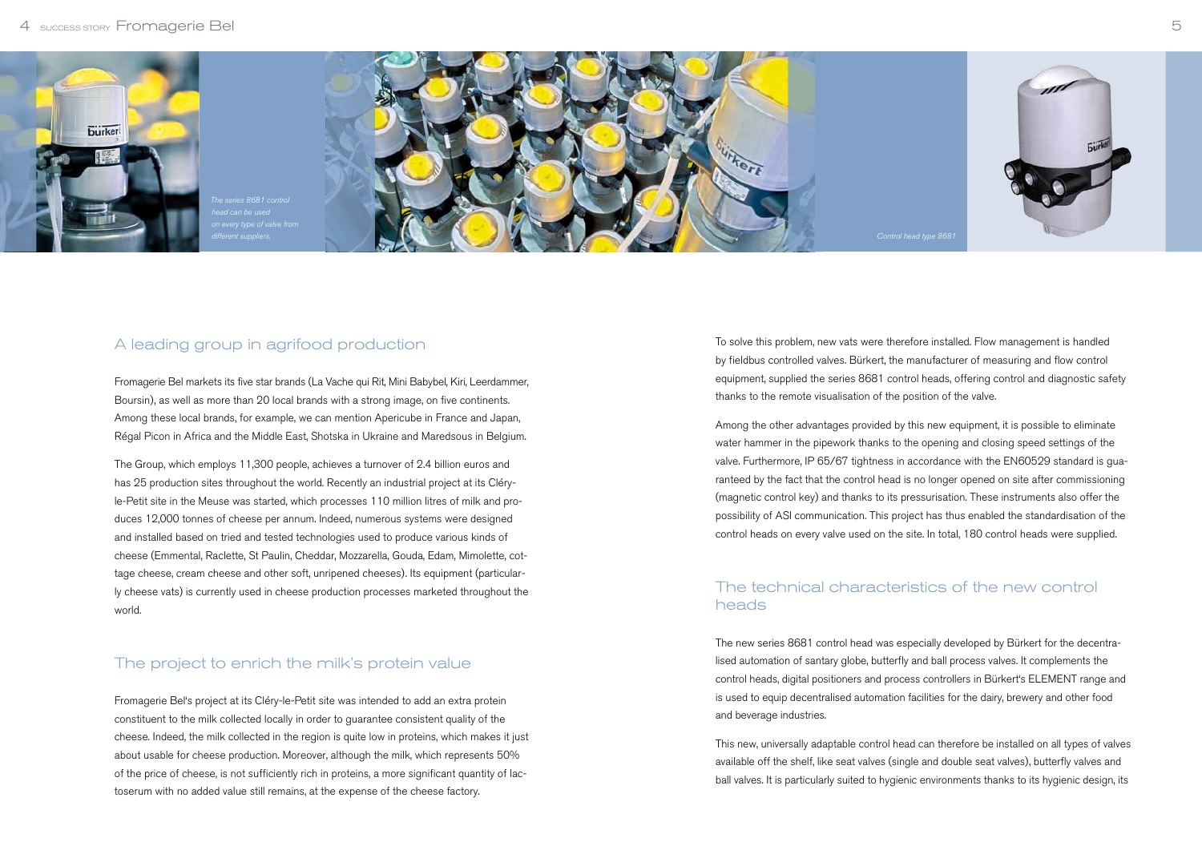To solve this problem, new vats were therefore installed. Flow management is handled by fieldbus controlled valves. Bürkert, the manufacturer of measuring and flow control equipment, supplied the series 8681 control heads, offering control and diagnostic safety thanks to the remote visualisation of the position of the valve.

Among the other advantages provided by this new equipment, it is possible to eliminate water hammer in the pipework thanks to the opening and closing speed settings of the valve. Furthermore, IP 65/67 tightness in accordance with the EN60529 standard is guaranteed by the fact that the control head is no longer opened on site after commissioning (magnetic control key) and thanks to its pressurisation. These instruments also offer the possibility of ASI communication. This project has thus enabled the standardisation of the control heads on every valve used on the site. In total, 180 control heads were supplied.

#### The technical characteristics of the new control heads

The new series 8681 control head was especially developed by Bürkert for the decentralised automation of santary globe, butterfly and ball process valves. It complements the control heads, digital positioners and process controllers in Bürkert's ELEMENT range and is used to equip decentralised automation facilities for the dairy, brewery and other food and beverage industries.

This new, universally adaptable control head can therefore be installed on all types of valves available off the shelf, like seat valves (single and double seat valves), butterfly valves and ball valves. It is particularly suited to hygienic environments thanks to its hygienic design, its



## A leading group in agrifood production

Fromagerie Bel markets its five star brands (La Vache qui Rit, Mini Babybel, Kiri, Leerdammer, Boursin), as well as more than 20 local brands with a strong image, on five continents. Among these local brands, for example, we can mention Apericube in France and Japan, Régal Picon in Africa and the Middle East, Shotska in Ukraine and Maredsous in Belgium.

The Group, which employs 11,300 people, achieves a turnover of 2.4 billion euros and has 25 production sites throughout the world. Recently an industrial project at its Cléryle-Petit site in the Meuse was started, which processes 110 million litres of milk and produces 12,000 tonnes of cheese per annum. Indeed, numerous systems were designed and installed based on tried and tested technologies used to produce various kinds of cheese (Emmental, Raclette, St Paulin, Cheddar, Mozzarella, Gouda, Edam, Mimolette, cottage cheese, cream cheese and other soft, unripened cheeses). Its equipment (particularly cheese vats) is currently used in cheese production processes marketed throughout the world.

### The project to enrich the milk's protein value

Fromagerie Bel's project at its Cléry-le-Petit site was intended to add an extra protein constituent to the milk collected locally in order to guarantee consistent quality of the cheese. Indeed, the milk collected in the region is quite low in proteins, which makes it just about usable for cheese production. Moreover, although the milk, which represents 50% of the price of cheese, is not sufficiently rich in proteins, a more significant quantity of lactoserum with no added value still remains, at the expense of the cheese factory.